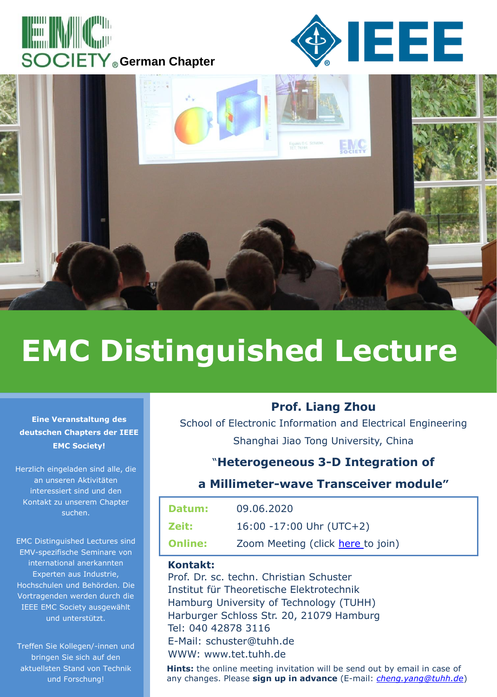





# **EMC Distinguished Lecture**

#### **Eine Veranstaltung des deutschen Chapters der IEEE EMC Society!**

Herzlich eingeladen sind alle, die an unseren Aktivitäten interessiert sind und den Kontakt zu unserem Chapter suchen.

EMC Distinguished Lectures sind EMV-spezifische Seminare von international anerkannten Experten aus Industrie, Hochschulen und Behörden. Die Vortragenden werden durch die IEEE EMC Society ausgewählt und unterstützt.

Treffen Sie Kollegen/-innen und bringen Sie sich auf den aktuellsten Stand von Technik und Forschung!

## **Prof. Liang Zhou**

School of Electronic Information and Electrical Engineering Shanghai Jiao Tong University, China

## "**Heterogeneous 3-D Integration of**

#### **a Millimeter-wave Transceiver module"**

| Datum:         | 09.06.2020                        |
|----------------|-----------------------------------|
| Zeit:          | $16:00 - 17:00$ Uhr (UTC+2)       |
| <b>Online:</b> | Zoom Meeting (click here to join) |

#### **Kontakt:**

Prof. Dr. sc. techn. Christian Schuster Institut für Theoretische Elektrotechnik Hamburg University of Technology (TUHH) Harburger Schloss Str. 20, 21079 Hamburg Tel: 040 42878 3116 E-Mail: schuster@tuhh.de WWW: www.tet.tuhh.de

**Hints:** the online meeting invitation will be send out by email in case of any changes. Please **sign up in advance** (E-mail: *[cheng.yang@tuhh.de](mailto:cheng.yang@tuhh.de)*)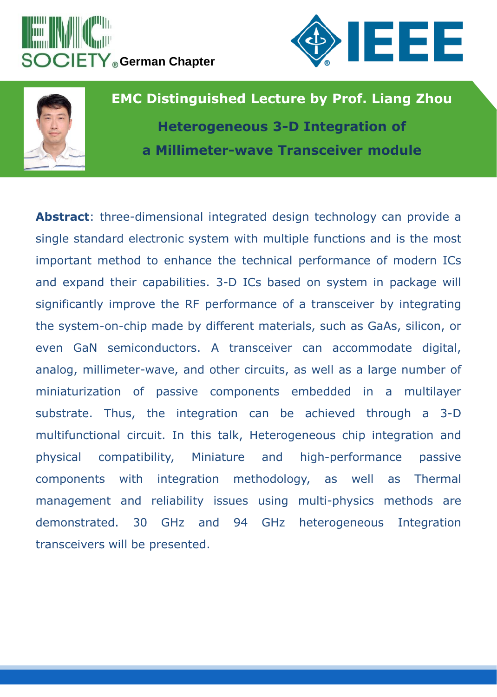





**EMC Distinguished Lecture by Prof. Liang Zhou Heterogeneous 3-D Integration of a Millimeter-wave Transceiver module**

**Abstract**: three-dimensional integrated design technology can provide a single standard electronic system with multiple functions and is the most important method to enhance the technical performance of modern ICs and expand their capabilities. 3-D ICs based on system in package will significantly improve the RF performance of a transceiver by integrating the system-on-chip made by different materials, such as GaAs, silicon, or even GaN semiconductors. A transceiver can accommodate digital, analog, millimeter-wave, and other circuits, as well as a large number of miniaturization of passive components embedded in a multilayer substrate. Thus, the integration can be achieved through a 3-D multifunctional circuit. In this talk, Heterogeneous chip integration and physical compatibility, Miniature and high-performance passive components with integration methodology, as well as Thermal management and reliability issues using multi-physics methods are demonstrated. 30 GHz and 94 GHz heterogeneous Integration transceivers will be presented.